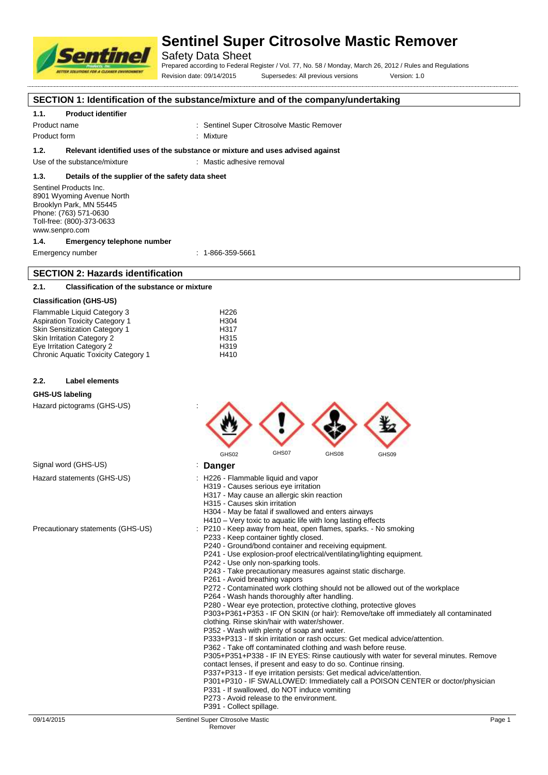

Safety Data Sheet

Prepared according to Federal Register / Vol. 77, No. 58 / Monday, March 26, 2012 / Rules and Regulations Revision date: 09/14/2015 Supersedes: All previous versions Version: 1.0

# **SECTION 1: Identification of the substance/mixture and of the company/undertaking**

## **1.1. Product identifier**

Product name The Sentinel Super Citrosolve Mastic Remover

Product form : Mixture

## **1.2. Relevant identified uses of the substance or mixture and uses advised against**

Use of the substance/mixture : Mastic adhesive removal

## **1.3. Details of the supplier of the safety data sheet**

Sentinel Products Inc. 8901 Wyoming Avenue North Brooklyn Park, MN 55445 Phone: (763) 571-0630 Toll-free: (800)-373-0633 www.senpro.com

### **1.4. Emergency telephone number**

Emergency number : 1-866-359-5661

# **SECTION 2: Hazards identification**

# **2.1. Classification of the substance or mixture**

## **Classification (GHS-US)**

| Flammable Liquid Category 3           | H <sub>226</sub> |
|---------------------------------------|------------------|
| <b>Aspiration Toxicity Category 1</b> | H <sub>304</sub> |
| <b>Skin Sensitization Category 1</b>  | H317             |
| <b>Skin Irritation Category 2</b>     | H <sub>315</sub> |
| Eve Irritation Category 2             | H <sub>319</sub> |
| Chronic Aquatic Toxicity Category 1   | H410             |
|                                       |                  |

### **2.2. Label elements**

### **GHS-US labeling**

Signal word (GHS-US) Hazard statements (GHS-US)

Precautionary statements (GHS-US)

Hazard pictograms (GHS-US) :

- P241 Use explosion-proof electrical/ventilating/lighting equipment.
- P242 Use only non-sparking tools.
- P243 Take precautionary measures against static discharge.
- P261 Avoid breathing vapors
- P272 Contaminated work clothing should not be allowed out of the workplace
- P264 Wash hands thoroughly after handling.
- P280 Wear eye protection, protective clothing, protective gloves

P303+P361+P353 - IF ON SKIN (or hair): Remove/take off immediately all contaminated clothing. Rinse skin/hair with water/shower.

- P352 Wash with plenty of soap and water.
- P333+P313 If skin irritation or rash occurs: Get medical advice/attention.
- P362 Take off contaminated clothing and wash before reuse.
- P305+P351+P338 IF IN EYES: Rinse cautiously with water for several minutes. Remove contact lenses, if present and easy to do so. Continue rinsing.
- P337+P313 If eye irritation persists: Get medical advice/attention.
- P301+P310 IF SWALLOWED: Immediately call a POISON CENTER or doctor/physician
- P331 If swallowed, do NOT induce vomiting
- P273 Avoid release to the environment.
- P391 Collect spillage.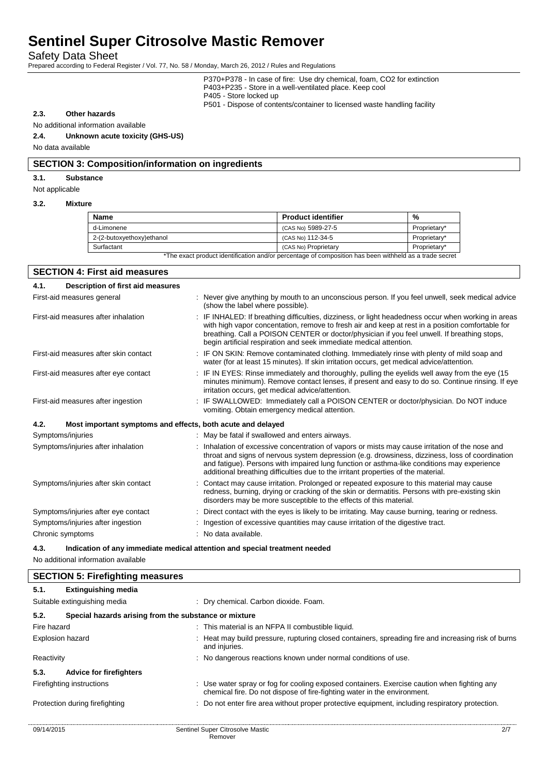Safety Data Sheet

Prepared according to Federal Register / Vol. 77, No. 58 / Monday, March 26, 2012 / Rules and Regulations

P370+P378 - In case of fire: Use dry chemical, foam, CO2 for extinction P403+P235 - Store in a well-ventilated place. Keep cool P405 - Store locked up

P501 - Dispose of contents/container to licensed waste handling facility

## **2.3. Other hazards**

## No additional information available

## **2.4. Unknown acute toxicity (GHS-US)**

No data available

#### **SECTION 3: Composition/information on ingredients**

### **3.1. Substance**

Not applicable

#### **3.2. Mixture**

| Name                                                                                                   | <b>Product identifier</b> | %            |
|--------------------------------------------------------------------------------------------------------|---------------------------|--------------|
| d-Limonene                                                                                             | (CAS No) 5989-27-5        | Proprietary* |
| 2-(2-butoxyethoxy)ethanol                                                                              | (CAS No) 112-34-5         | Proprietary* |
| Surfactant                                                                                             | (CAS No) Proprietary      | Proprietary* |
| *The exact product identification and/or percentage of composition has been withheld as a trade secret |                           |              |

| <b>SECTION 4: First aid measures</b>      |                                                             |                                                                                                                                                                                                                                                                                                                                                                                       |  |  |  |
|-------------------------------------------|-------------------------------------------------------------|---------------------------------------------------------------------------------------------------------------------------------------------------------------------------------------------------------------------------------------------------------------------------------------------------------------------------------------------------------------------------------------|--|--|--|
| Description of first aid measures<br>4.1. |                                                             |                                                                                                                                                                                                                                                                                                                                                                                       |  |  |  |
| First-aid measures general                |                                                             | : Never give anything by mouth to an unconscious person. If you feel unwell, seek medical advice<br>(show the label where possible).                                                                                                                                                                                                                                                  |  |  |  |
| First-aid measures after inhalation       |                                                             | : IF INHALED: If breathing difficulties, dizziness, or light headedness occur when working in areas<br>with high vapor concentation, remove to fresh air and keep at rest in a position comfortable for<br>breathing. Call a POISON CENTER or doctor/physician if you feel unwell. If breathing stops,<br>begin artificial respiration and seek immediate medical attention.          |  |  |  |
| First-aid measures after skin contact     |                                                             | : IF ON SKIN: Remove contaminated clothing. Immediately rinse with plenty of mild soap and<br>water (for at least 15 minutes). If skin irritation occurs, get medical advice/attention.                                                                                                                                                                                               |  |  |  |
| First-aid measures after eye contact      |                                                             | : IF IN EYES: Rinse immediately and thoroughly, pulling the eyelids well away from the eye (15<br>minutes minimum). Remove contact lenses, if present and easy to do so. Continue rinsing. If eye<br>irritation occurs, get medical advice/attention.                                                                                                                                 |  |  |  |
| First-aid measures after ingestion        |                                                             | : IF SWALLOWED: Immediately call a POISON CENTER or doctor/physician. Do NOT induce<br>vomiting. Obtain emergency medical attention.                                                                                                                                                                                                                                                  |  |  |  |
| 4.2.                                      | Most important symptoms and effects, both acute and delayed |                                                                                                                                                                                                                                                                                                                                                                                       |  |  |  |
| Symptoms/injuries                         |                                                             | : May be fatal if swallowed and enters airways.                                                                                                                                                                                                                                                                                                                                       |  |  |  |
| Symptoms/injuries after inhalation        |                                                             | : Inhalation of excessive concentration of vapors or mists may cause irritation of the nose and<br>throat and signs of nervous system depression (e.g. drowsiness, dizziness, loss of coordination<br>and fatigue). Persons with impaired lung function or asthma-like conditions may experience<br>additional breathing difficulties due to the irritant properties of the material. |  |  |  |
| Symptoms/injuries after skin contact      |                                                             | : Contact may cause irritation. Prolonged or repeated exposure to this material may cause<br>redness, burning, drying or cracking of the skin or dermatitis. Persons with pre-existing skin<br>disorders may be more susceptible to the effects of this material.                                                                                                                     |  |  |  |
| Symptoms/injuries after eye contact       |                                                             | : Direct contact with the eyes is likely to be irritating. May cause burning, tearing or redness.                                                                                                                                                                                                                                                                                     |  |  |  |
| Symptoms/injuries after ingestion         |                                                             | : Ingestion of excessive quantities may cause irritation of the digestive tract.                                                                                                                                                                                                                                                                                                      |  |  |  |
| Chronic symptoms                          |                                                             | : No data available.                                                                                                                                                                                                                                                                                                                                                                  |  |  |  |

**4.3. Indication of any immediate medical attention and special treatment needed**

No additional information available

| <b>Extinguishing media</b>     |                                                                                                                                                                                                |                                                                                                                                                                         |
|--------------------------------|------------------------------------------------------------------------------------------------------------------------------------------------------------------------------------------------|-------------------------------------------------------------------------------------------------------------------------------------------------------------------------|
|                                |                                                                                                                                                                                                | : Dry chemical. Carbon dioxide. Foam.                                                                                                                                   |
|                                |                                                                                                                                                                                                |                                                                                                                                                                         |
|                                |                                                                                                                                                                                                | : This material is an NFPA II combustible liquid.                                                                                                                       |
|                                |                                                                                                                                                                                                | : Heat may build pressure, rupturing closed containers, spreading fire and increasing risk of burns<br>and injuries.                                                    |
|                                |                                                                                                                                                                                                | : No dangerous reactions known under normal conditions of use.                                                                                                          |
| <b>Advice for firefighters</b> |                                                                                                                                                                                                |                                                                                                                                                                         |
|                                |                                                                                                                                                                                                | : Use water spray or fog for cooling exposed containers. Exercise caution when fighting any<br>chemical fire. Do not dispose of fire-fighting water in the environment. |
|                                |                                                                                                                                                                                                | : Do not enter fire area without proper protective equipment, including respiratory protection.                                                                         |
|                                |                                                                                                                                                                                                |                                                                                                                                                                         |
|                                | <b>SECTION 5: Firefighting measures</b><br>Suitable extinguishing media<br>Fire hazard<br><b>Explosion hazard</b><br>Reactivity<br>Firefighting instructions<br>Protection during firefighting | Special hazards arising from the substance or mixture                                                                                                                   |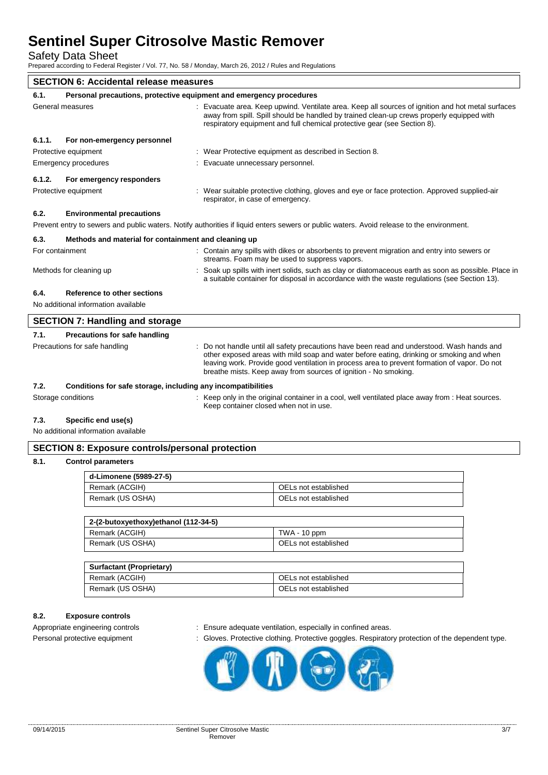Safety Data Sheet

Prepared according to Federal Register / Vol. 77, No. 58 / Monday, March 26, 2012 / Rules and Regulations

| <b>SECTION 6: Accidental release measures</b>                |                                                                     |  |                                                                                                                                                                                                                                                                                                                                                         |
|--------------------------------------------------------------|---------------------------------------------------------------------|--|---------------------------------------------------------------------------------------------------------------------------------------------------------------------------------------------------------------------------------------------------------------------------------------------------------------------------------------------------------|
| 6.1.                                                         | Personal precautions, protective equipment and emergency procedures |  |                                                                                                                                                                                                                                                                                                                                                         |
| General measures                                             |                                                                     |  | Evacuate area. Keep upwind. Ventilate area. Keep all sources of ignition and hot metal surfaces<br>away from spill. Spill should be handled by trained clean-up crews properly equipped with<br>respiratory equipment and full chemical protective gear (see Section 8).                                                                                |
| 6.1.1.                                                       | For non-emergency personnel                                         |  |                                                                                                                                                                                                                                                                                                                                                         |
|                                                              | Protective equipment                                                |  | : Wear Protective equipment as described in Section 8.                                                                                                                                                                                                                                                                                                  |
|                                                              | Emergency procedures                                                |  | Evacuate unnecessary personnel.                                                                                                                                                                                                                                                                                                                         |
| 6.1.2.                                                       | For emergency responders                                            |  |                                                                                                                                                                                                                                                                                                                                                         |
|                                                              | Protective equipment                                                |  | : Wear suitable protective clothing, gloves and eye or face protection. Approved supplied-air<br>respirator, in case of emergency.                                                                                                                                                                                                                      |
| 6.2.                                                         | <b>Environmental precautions</b>                                    |  |                                                                                                                                                                                                                                                                                                                                                         |
|                                                              |                                                                     |  | Prevent entry to sewers and public waters. Notify authorities if liquid enters sewers or public waters. Avoid release to the environment.                                                                                                                                                                                                               |
| 6.3.<br>Methods and material for containment and cleaning up |                                                                     |  |                                                                                                                                                                                                                                                                                                                                                         |
|                                                              | For containment                                                     |  | : Contain any spills with dikes or absorbents to prevent migration and entry into sewers or<br>streams. Foam may be used to suppress vapors.                                                                                                                                                                                                            |
|                                                              | Methods for cleaning up                                             |  | Soak up spills with inert solids, such as clay or diatomaceous earth as soon as possible. Place in<br>a suitable container for disposal in accordance with the waste regulations (see Section 13).                                                                                                                                                      |
| 6.4.                                                         | Reference to other sections                                         |  |                                                                                                                                                                                                                                                                                                                                                         |
| No additional information available                          |                                                                     |  |                                                                                                                                                                                                                                                                                                                                                         |
| <b>SECTION 7: Handling and storage</b>                       |                                                                     |  |                                                                                                                                                                                                                                                                                                                                                         |
| 7.1.                                                         | <b>Precautions for safe handling</b>                                |  |                                                                                                                                                                                                                                                                                                                                                         |
|                                                              | Precautions for safe handling                                       |  | Do not handle until all safety precautions have been read and understood. Wash hands and<br>other exposed areas with mild soap and water before eating, drinking or smoking and when<br>leaving work. Provide good ventilation in process area to prevent formation of vapor. Do not<br>breathe mists. Keep away from sources of ignition - No smoking. |

## **7.2. Conditions for safe storage, including any incompatibilities**

Storage conditions **interpret only in the original container in a cool, well ventilated place away from : Heat sources.** 

# **7.3. Specific end use(s)**

No additional information available

# **SECTION 8: Exposure controls/personal protection**

## **8.1. Control parameters**

| d-Limonene (5989-27-5) |                      |  |  |
|------------------------|----------------------|--|--|
| Remark (ACGIH)         | OELs not established |  |  |
| Remark (US OSHA)       | OELs not established |  |  |

Keep container closed when not in use.

| 2-(2-butoxyethoxy)ethanol (112-34-5) |                      |  |  |
|--------------------------------------|----------------------|--|--|
| Remark (ACGIH)                       | TWA - 10 ppm         |  |  |
| Remark (US OSHA)                     | OELs not established |  |  |

| Surfactant (Proprietary) |                      |  |  |  |
|--------------------------|----------------------|--|--|--|
| Remark (ACGIH)           | OELs not established |  |  |  |
| Remark (US OSHA)         | OELs not established |  |  |  |

# **8.2. Exposure controls**

- Appropriate engineering controls : Ensure adequate ventilation, especially in confined areas.
- Personal protective equipment : Gloves. Protective clothing. Protective goggles. Respiratory protection of the dependent type.

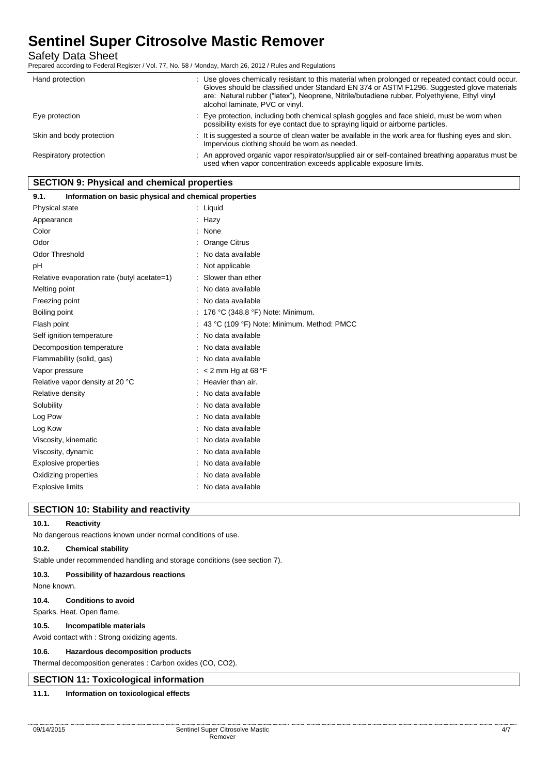Safety Data Sheet

Prepared according to Federal Register / Vol. 77, No. 58 / Monday, March 26, 2012 / Rules and Regulations

| Hand protection          | : Use gloves chemically resistant to this material when prolonged or repeated contact could occur.<br>Gloves should be classified under Standard EN 374 or ASTM F1296. Suggested glove materials<br>are: Natural rubber ("latex"), Neoprene, Nitrile/butadiene rubber, Polyethylene, Ethyl vinyl<br>alcohol laminate, PVC or vinyl. |
|--------------------------|-------------------------------------------------------------------------------------------------------------------------------------------------------------------------------------------------------------------------------------------------------------------------------------------------------------------------------------|
| Eye protection           | : Eye protection, including both chemical splash goggles and face shield, must be worn when<br>possibility exists for eye contact due to spraying liquid or airborne particles.                                                                                                                                                     |
| Skin and body protection | : It is suggested a source of clean water be available in the work area for flushing eyes and skin.<br>Impervious clothing should be worn as needed.                                                                                                                                                                                |
| Respiratory protection   | : An approved organic vapor respirator/supplied air or self-contained breathing apparatus must be<br>used when vapor concentration exceeds applicable exposure limits.                                                                                                                                                              |

## **SECTION 9: Physical and chemical properties**

| Information on basic physical and chemical properties<br>9.1. |                                            |
|---------------------------------------------------------------|--------------------------------------------|
| Physical state                                                | : Liquid                                   |
| Appearance                                                    | Hazy                                       |
| Color                                                         | None                                       |
| Odor                                                          | Orange Citrus                              |
| <b>Odor Threshold</b>                                         | No data available                          |
| pH                                                            | Not applicable                             |
| Relative evaporation rate (butyl acetate=1)                   | Slower than ether                          |
| Melting point                                                 | No data available                          |
| Freezing point                                                | No data available                          |
| Boiling point                                                 | 176 °C (348.8 °F) Note: Minimum.           |
| Flash point                                                   | 43 °C (109 °F) Note: Minimum. Method: PMCC |
| Self ignition temperature                                     | No data available                          |
| Decomposition temperature                                     | No data available                          |
| Flammability (solid, gas)                                     | No data available                          |
| Vapor pressure                                                | < 2 mm Hg at 68 $\degree$ F                |
| Relative vapor density at 20 °C                               | Heavier than air.                          |
| Relative density                                              | No data available                          |
| Solubility                                                    | : No data available                        |
| Log Pow                                                       | : No data available                        |
| Log Kow                                                       | No data available                          |
| Viscosity, kinematic                                          | No data available                          |
| Viscosity, dynamic                                            | No data available                          |
| <b>Explosive properties</b>                                   | No data available                          |
| Oxidizing properties                                          | No data available                          |
| <b>Explosive limits</b>                                       | No data available                          |

# **SECTION 10: Stability and reactivity**

## **10.1. Reactivity**

No dangerous reactions known under normal conditions of use.

## **10.2. Chemical stability**

Stable under recommended handling and storage conditions (see section 7).

## **10.3. Possibility of hazardous reactions**

None known.

# **10.4. Conditions to avoid**

Sparks. Heat. Open flame.

#### **10.5. Incompatible materials**

Avoid contact with : Strong oxidizing agents.

## **10.6. Hazardous decomposition products**

Thermal decomposition generates : Carbon oxides (CO, CO2).

# **SECTION 11: Toxicological information**

# **11.1. Information on toxicological effects**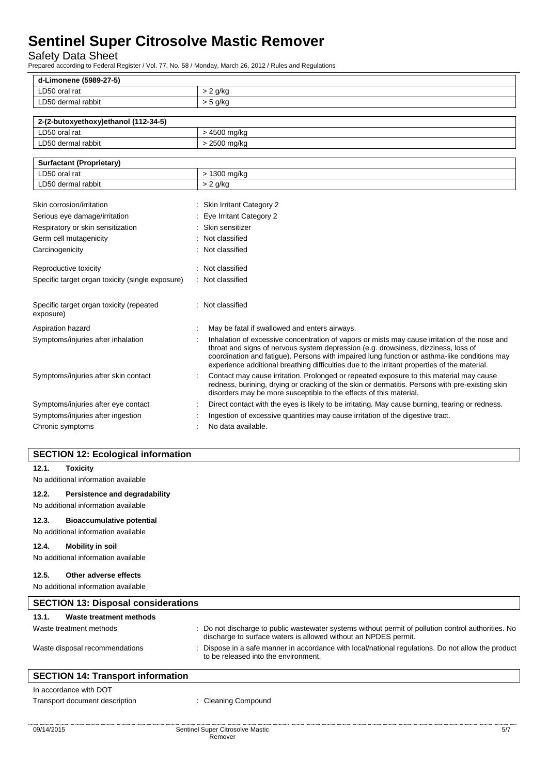Safety Data Sheet

Prepared according to Federal Register / Vol. 77, No. 58 / Monday, March 26, 2012 / Rules and Regulations

| d-Limonene (5989-27-5)                                |  |                                                                                                                                                                                                                                                                                                                                                                                     |  |
|-------------------------------------------------------|--|-------------------------------------------------------------------------------------------------------------------------------------------------------------------------------------------------------------------------------------------------------------------------------------------------------------------------------------------------------------------------------------|--|
| LD50 oral rat                                         |  | $> 2$ g/kg                                                                                                                                                                                                                                                                                                                                                                          |  |
| LD50 dermal rabbit                                    |  | $> 5$ g/kg                                                                                                                                                                                                                                                                                                                                                                          |  |
|                                                       |  |                                                                                                                                                                                                                                                                                                                                                                                     |  |
| 2-(2-butoxyethoxy)ethanol (112-34-5)                  |  |                                                                                                                                                                                                                                                                                                                                                                                     |  |
| LD50 oral rat                                         |  | > 4500 mg/kg                                                                                                                                                                                                                                                                                                                                                                        |  |
| LD50 dermal rabbit                                    |  | > 2500 mg/kg                                                                                                                                                                                                                                                                                                                                                                        |  |
| <b>Surfactant (Proprietary)</b>                       |  |                                                                                                                                                                                                                                                                                                                                                                                     |  |
| LD50 oral rat                                         |  | > 1300 mg/kg                                                                                                                                                                                                                                                                                                                                                                        |  |
| LD50 dermal rabbit                                    |  | $> 2$ g/kg                                                                                                                                                                                                                                                                                                                                                                          |  |
|                                                       |  |                                                                                                                                                                                                                                                                                                                                                                                     |  |
| Skin corrosion/irritation                             |  | : Skin Irritant Category 2                                                                                                                                                                                                                                                                                                                                                          |  |
| Serious eye damage/irritation                         |  | Eye Irritant Category 2                                                                                                                                                                                                                                                                                                                                                             |  |
| Respiratory or skin sensitization                     |  | Skin sensitizer                                                                                                                                                                                                                                                                                                                                                                     |  |
| Germ cell mutagenicity                                |  | Not classified                                                                                                                                                                                                                                                                                                                                                                      |  |
| Carcinogenicity                                       |  | Not classified                                                                                                                                                                                                                                                                                                                                                                      |  |
| Reproductive toxicity                                 |  | Not classified                                                                                                                                                                                                                                                                                                                                                                      |  |
| Specific target organ toxicity (single exposure)      |  | : Not classified                                                                                                                                                                                                                                                                                                                                                                    |  |
| Specific target organ toxicity (repeated<br>exposure) |  | Not classified                                                                                                                                                                                                                                                                                                                                                                      |  |
| Aspiration hazard                                     |  | May be fatal if swallowed and enters airways.                                                                                                                                                                                                                                                                                                                                       |  |
| Symptoms/injuries after inhalation                    |  | Inhalation of excessive concentration of vapors or mists may cause irritation of the nose and<br>throat and signs of nervous system depression (e.g. drowsiness, dizziness, loss of<br>coordination and fatigue). Persons with impaired lung function or asthma-like conditions may<br>experience additional breathing difficulties due to the irritant properties of the material. |  |
| Symptoms/injuries after skin contact                  |  | Contact may cause irritation. Prolonged or repeated exposure to this material may cause<br>redness, burining, drying or cracking of the skin or dermatitis. Persons with pre-existing skin<br>disorders may be more susceptible to the effects of this material.                                                                                                                    |  |
| Symptoms/injuries after eye contact                   |  | Direct contact with the eyes is likely to be irritating. May cause burning, tearing or redness.                                                                                                                                                                                                                                                                                     |  |
| Symptoms/injuries after ingestion                     |  | Ingestion of excessive quantities may cause irritation of the digestive tract.                                                                                                                                                                                                                                                                                                      |  |
| Chronic symptoms                                      |  | No data available.                                                                                                                                                                                                                                                                                                                                                                  |  |

# **SECTION 12: Ecological information**

| 12.1.                                      | Toxicity                         |  |                                                                                                                                                                      |  |  |  |
|--------------------------------------------|----------------------------------|--|----------------------------------------------------------------------------------------------------------------------------------------------------------------------|--|--|--|
| No additional information available        |                                  |  |                                                                                                                                                                      |  |  |  |
| 12.2.                                      | Persistence and degradability    |  |                                                                                                                                                                      |  |  |  |
| No additional information available        |                                  |  |                                                                                                                                                                      |  |  |  |
| 12.3.                                      | <b>Bioaccumulative potential</b> |  |                                                                                                                                                                      |  |  |  |
| No additional information available        |                                  |  |                                                                                                                                                                      |  |  |  |
| 12.4.                                      | <b>Mobility in soil</b>          |  |                                                                                                                                                                      |  |  |  |
| No additional information available        |                                  |  |                                                                                                                                                                      |  |  |  |
| 12.5.                                      | Other adverse effects            |  |                                                                                                                                                                      |  |  |  |
| No additional information available        |                                  |  |                                                                                                                                                                      |  |  |  |
| <b>SECTION 13: Disposal considerations</b> |                                  |  |                                                                                                                                                                      |  |  |  |
| 13.1.                                      | Waste treatment methods          |  |                                                                                                                                                                      |  |  |  |
| Waste treatment methods                    |                                  |  | Do not discharge to public wastewater systems without permit of pollution control authorities. No<br>discharge to surface waters is allowed without an NPDES permit. |  |  |  |
| Waste disposal recommendations             |                                  |  | Dispose in a safe manner in accordance with local/national regulations. Do not allow the product<br>to be released into the environment.                             |  |  |  |
| <b>CECTION 14. Transport information</b>   |                                  |  |                                                                                                                                                                      |  |  |  |

# **SECTION 14: Transport information** In accordance with DOT

Transport document description : Cleaning Compound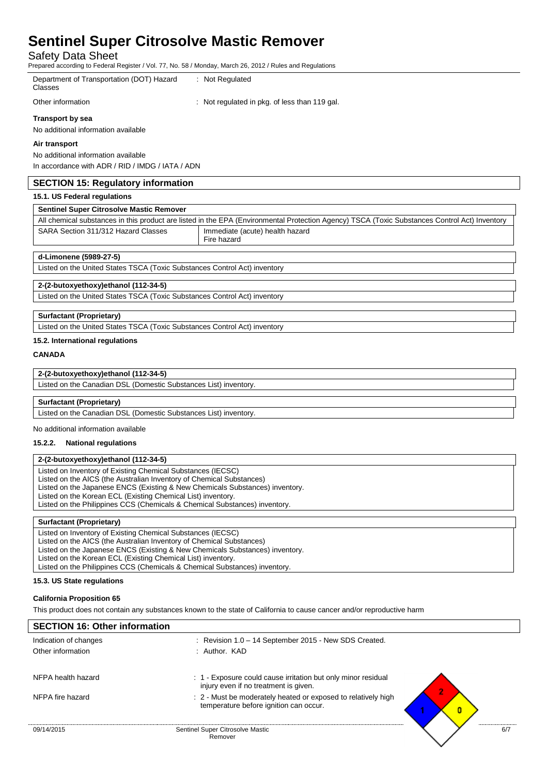Safety Data Sheet

Prepared according to Federal Register / Vol. 77, No. 58 / Monday, March 26, 2012 / Rules and Regulations

Department of Transportation (DOT) Hazard : Not Regulated

**Classes** 

Other information : Not regulated in pkg. of less than 119 gal.

**Transport by sea**

No additional information available

### **Air transport**

No additional information available In accordance with ADR / RID / IMDG / IATA / ADN

## **SECTION 15: Regulatory information**

## **15.1. US Federal regulations**

| <b>Sentinel Super Citrosolve Mastic Remover</b>                                                                                               |                                 |  |  |  |  |  |
|-----------------------------------------------------------------------------------------------------------------------------------------------|---------------------------------|--|--|--|--|--|
| All chemical substances in this product are listed in the EPA (Environmental Protection Agency) TSCA (Toxic Substances Control Act) Inventory |                                 |  |  |  |  |  |
| SARA Section 311/312 Hazard Classes                                                                                                           | Immediate (acute) health hazard |  |  |  |  |  |
|                                                                                                                                               | Fire hazard                     |  |  |  |  |  |

## **d-Limonene (5989-27-5)**

Listed on the United States TSCA (Toxic Substances Control Act) inventory

# **2-(2-butoxyethoxy)ethanol (112-34-5)**

Listed on the United States TSCA (Toxic Substances Control Act) inventory

### **Surfactant (Proprietary)**

Listed on the United States TSCA (Toxic Substances Control Act) inventory

## **15.2. International regulations**

## **CANADA**

## **2-(2-butoxyethoxy)ethanol (112-34-5)**

| Listed on the Canadian DSL (Domestic Substances List) inventory. |
|------------------------------------------------------------------|
|                                                                  |

### **Surfactant (Proprietary)**

Listed on the Canadian DSL (Domestic Substances List) inventory.

No additional information available

## **15.2.2. National regulations**

## **2-(2-butoxyethoxy)ethanol (112-34-5)**

Listed on Inventory of Existing Chemical Substances (IECSC)

Listed on the AICS (the Australian Inventory of Chemical Substances)

Listed on the Japanese ENCS (Existing & New Chemicals Substances) inventory.

Listed on the Korean ECL (Existing Chemical List) inventory.

Listed on the Philippines CCS (Chemicals & Chemical Substances) inventory.

## **Surfactant (Proprietary)**

Listed on Inventory of Existing Chemical Substances (IECSC) Listed on the AICS (the Australian Inventory of Chemical Substances) Listed on the Japanese ENCS (Existing & New Chemicals Substances) inventory. Listed on the Korean ECL (Existing Chemical List) inventory. Listed on the Philippines CCS (Chemicals & Chemical Substances) inventory.

### **15.3. US State regulations**

### **California Proposition 65**

This product does not contain any substances known to the state of California to cause cancer and/or reproductive harm

# 09/14/2015 Sentinel Super Citrosolve Mastic Remover  $6/7$ **SECTION 16: Other information** Indication of changes : Revision 1.0 – 14 September 2015 - New SDS Created. Other information : Author. KAD NFPA health hazard : 1 - Exposure could cause irritation but only minor residual injury even if no treatment is given. NFPA fire hazard **interval in the moderately heated or exposed to relatively high**  $\cdot$  2 - Must be moderately heated or exposed to relatively high temperature before ignition can occur.